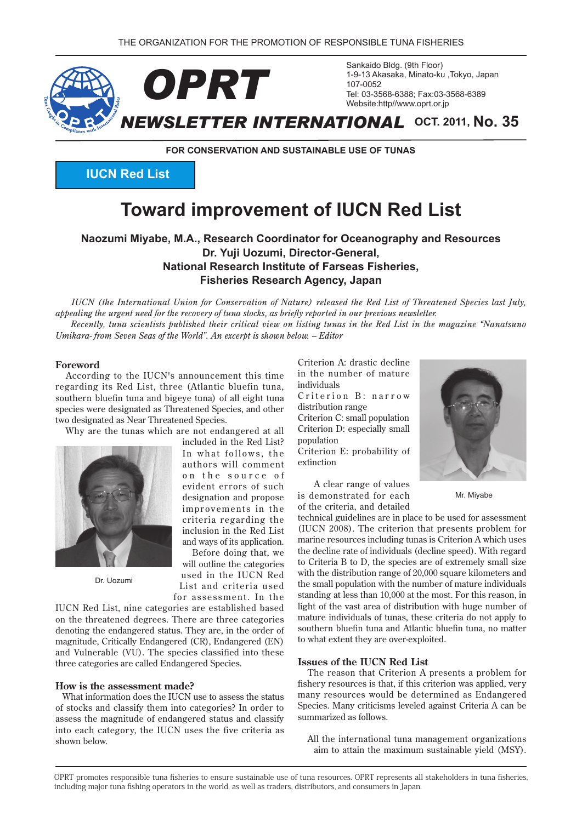

**FOR CONSERVATION AND SUSTAINABLE USE OF TUNAS** 

**IUCN Red List** 

# **Toward improvement of IUCN Red List**

**Naozumi Miyabe, M.A., Research Coordinator for Oceanography and Resources Dr. Yuji Uozumi. Director-General. National Research Institute of Farseas Fisheries. Fisheries Research Agency, Japan** 

*IUCN* (the International Union for Conservation of Nature) released the Red List of Threatened Species last July, appealing the urgent need for the recovery of tuna stocks, as briefly reported in our previous newsletter.

*Recently, tuna scientists published their critical view on listing tunas in the Red List in the magazine "Nanatsuno Umikara-from Seven Seas of the World". An excerpt is shown below. - Editor* 

#### **Foreword**

According to the IUCN's announcement this time regarding its Red List, three (Atlantic bluefin tuna, southern bluefin tuna and bigeye tuna) of all eight tuna species were designated as Threatened Species, and other two designated as Near Threatened Species.

Why are the tunas which are not endangered at all

designation and propose

Before doing that, we will outline the categories

List and criteria used



Dr. Uozumi

for assessment. In the IUCN Red List, nine categories are established based on the threatened degrees. There are three categories denoting the endangered status. They are, in the order of magnitude, Critically Endangered (CR), Endangered (EN) and Vulnerable (VU). The species classified into these three categories are called Endangered Species.

#### **How is the assessment made?**

What information does the IUCN use to assess the status of stocks and classify them into categories? In order to assess the magnitude of endangered status and classify into each category, the IUCN uses the five criteria as shown below.

Criterion A: drastic decline in the number of mature individuals

Criterion B: narrow distribution range

Criterion C: small population Criterion D: especially small population

Criterion E: probability of extinction

A clear range of values is demonstrated for each of the criteria, and detailed



Mr. Miyabe

technical guidelines are in place to be used for assessment (IUCN 2008). The criterion that presents problem for marine resources including tunas is Criterion A which uses the decline rate of individuals (decline speed). With regard to Criteria B to D, the species are of extremely small size with the distribution range of  $20,000$  square kilometers and the small population with the number of mature individuals standing at less than 10,000 at the most. For this reason, in light of the vast area of distribution with huge number of mature individuals of tunas, these criteria do not apply to southern bluefin tuna and Atlantic bluefin tuna, no matter to what extent they are over-exploited.

#### **List Issues** of the IUCN Red List

The reason that Criterion A presents a problem for fishery resources is that, if this criterion was applied, very many resources would be determined as Endangered Species. Many criticisms leveled against Criteria A can be summarized as follows.

All the international tuna management organizations aim to attain the maximum sustainable yield (MSY).

OPRT promotes responsible tuna fisheries to ensure sustainable use of tuna resources. OPRT represents all stakeholders in tuna fisheries. including major tuna fishing operators in the world, as well as traders, distributors, and consumers in Japan.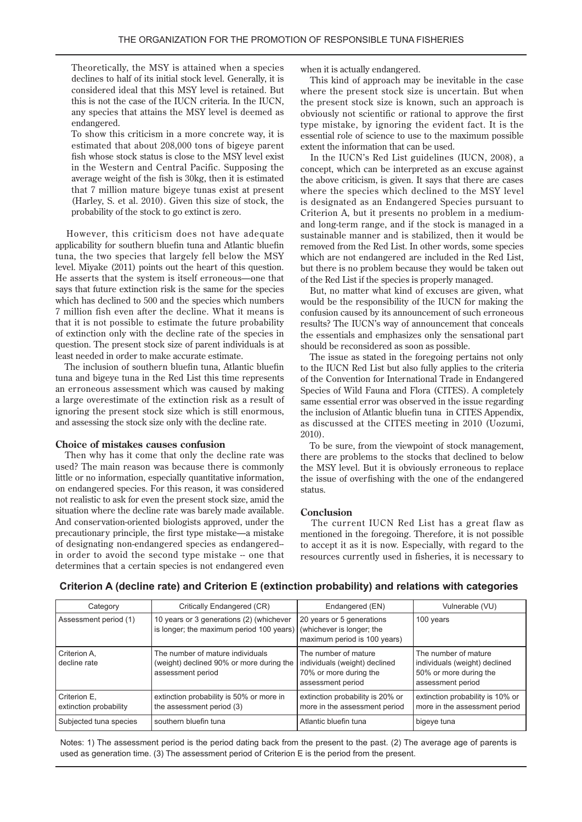Theoretically, the MSY is attained when a species declines to half of its initial stock level. Generally, it is considered ideal that this MSY level is retained. But this is not the case of the IUCN criteria. In the IUCN, any species that attains the MSY level is deemed as .endangered

To show this criticism in a more concrete way, it is estimated that about  $208,000$  tons of bigeye parent fish whose stock status is close to the MSY level exist in the Western and Central Pacific. Supposing the average weight of the fish is  $30 \text{kg}$ , then it is estimated that 7 million mature bigeye tunas exist at present (Harley, S. et al.  $2010$ ). Given this size of stock, the probability of the stock to go extinct is zero.

However, this criticism does not have adequate applicability for southern bluefin tuna and Atlantic bluefin tuna, the two species that largely fell below the MSY level. Miyake  $(2011)$  points out the heart of this question. He asserts that the system is itself erroneous—one that says that future extinction risk is the same for the species which has declined to 500 and the species which numbers 7 million fish even after the decline. What it means is that it is not possible to estimate the future probability of extinction only with the decline rate of the species in question. The present stock size of parent individuals is at least needed in order to make accurate estimate.

The inclusion of southern bluefin tuna, Atlantic bluefin tuna and bigeye tuna in the Red List this time represents an erroneous assessment which was caused by making a large overestimate of the extinction risk as a result of ignoring the present stock size which is still enormous, and assessing the stock size only with the decline rate.

#### **choice** of mistakes causes confusion

Then why has it come that only the decline rate was used? The main reason was because there is commonly little or no information, especially quantitative information, on endangered species. For this reason, it was considered not realistic to ask for even the present stock size, amid the situation where the decline rate was barely made available. And conservation-oriented biologists approved, under the precautionary principle, the first type mistake—a mistake of designating non-endangered species as endangered-in order to avoid the second type mistake -- one that determines that a certain species is not endangered even when it is actually endangered.

This kind of approach may be inevitable in the case where the present stock size is uncertain. But when the present stock size is known, such an approach is obviously not scientific or rational to approve the first type mistake, by ignoring the evident fact. It is the essential role of science to use to the maximum possible extent the information that can be used.

In the IUCN's Red List guidelines (IUCN, 2008), a concept, which can be interpreted as an excuse against the above criticism, is given. It says that there are cases where the species which declined to the MSY level is designated as an Endangered Species pursuant to and long-term range, and if the stock is managed in a Criterion A, but it presents no problem in a mediumsustainable manner and is stabilized, then it would be removed from the Red List. In other words, some species which are not endangered are included in the Red List, but there is no problem because they would be taken out of the Red List if the species is properly managed.

But, no matter what kind of excuses are given, what would be the responsibility of the IUCN for making the confusion caused by its announcement of such erroneous results? The IUCN's way of announcement that conceals the essentials and emphasizes only the sensational part should be reconsidered as soon as possible.

The issue as stated in the foregoing pertains not only to the IUCN Red List but also fully applies to the criteria of the Convention for International Trade in Endangered Species of Wild Fauna and Flora (CITES). A completely same essential error was observed in the issue regarding the inclusion of Atlantic bluefin tuna in CITES Appendix, as discussed at the CITES meeting in 2010 (Uozumi, 2010).

To be sure, from the viewpoint of stock management. there are problems to the stocks that declined to below the MSY level. But it is obviously erroneous to replace the issue of overfishing with the one of the endangered status.

#### **Conclusion**

The current IUCN Red List has a great flaw as mentioned in the foregoing. Therefore, it is not possible to accept it as it is now. Especially, with regard to the resources currently used in fisheries, it is necessary to

### Criterion A (decline rate) and Criterion E (extinction probability) and relations with categories

| Category                                 | Critically Endangered (CR)                                                                        | Endangered (EN)                                                                                      | Vulnerable (VU)                                                                                      |
|------------------------------------------|---------------------------------------------------------------------------------------------------|------------------------------------------------------------------------------------------------------|------------------------------------------------------------------------------------------------------|
| Assessment period (1)                    | 10 years or 3 generations (2) (whichever<br>is longer; the maximum period 100 years)              | 20 years or 5 generations<br>(whichever is longer; the<br>maximum period is 100 years)               | 100 years                                                                                            |
| Criterion A,<br>l decline rate           | The number of mature individuals<br>(weight) declined 90% or more during the<br>assessment period | The number of mature<br>individuals (weight) declined<br>70% or more during the<br>assessment period | The number of mature<br>individuals (weight) declined<br>50% or more during the<br>assessment period |
| l Criterion E.<br>extinction probability | extinction probability is 50% or more in<br>the assessment period (3)                             | extinction probability is 20% or<br>more in the assessment period                                    | extinction probability is 10% or<br>more in the assessment period                                    |
| Subjected tuna species                   | southern bluefin tuna                                                                             | Atlantic bluefin tuna                                                                                | bigeye tuna                                                                                          |

Notes: 1) The assessment period is the period dating back from the present to the past. (2) The average age of parents is used as generation time. (3) The assessment period of Criterion E is the period from the present.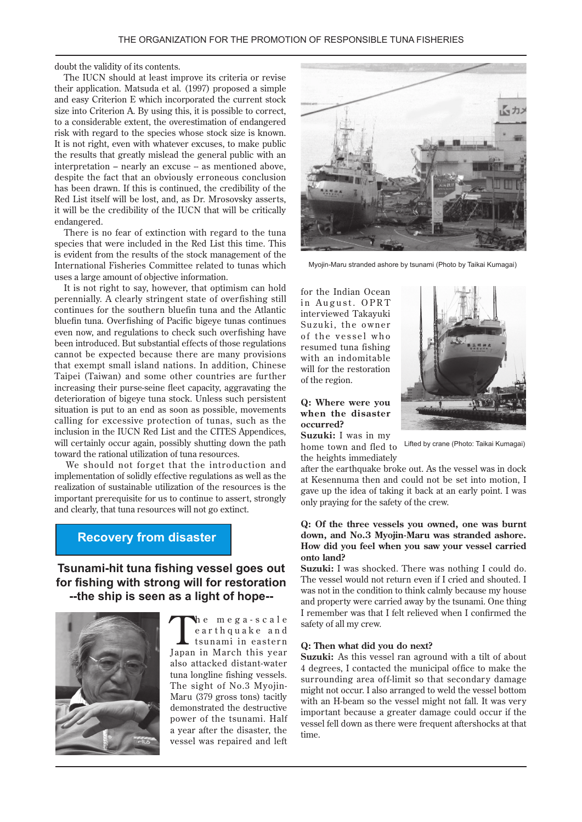#### doubt the validity of its contents.

The IUCN should at least improve its criteria or revise their application. Matsuda et al. (1997) proposed a simple and easy Criterion E which incorporated the current stock size into Criterion A. By using this, it is possible to correct, to a considerable extent, the overestimation of endangered risk with regard to the species whose stock size is known. It is not right, even with whatever excuses, to make public the results that greatly mislead the general public with an interpretation – nearly an excuse – as mentioned above, despite the fact that an obviously erroneous conclusion has been drawn. If this is continued, the credibility of the Red List itself will be lost, and, as Dr. Mrosovsky asserts, it will be the credibility of the IUCN that will be critically .endangered

There is no fear of extinction with regard to the tuna species that were included in the Red List this time. This is evident from the results of the stock management of the International Fisheries Committee related to tunas which uses a large amount of objective information.

It is not right to say, however, that optimism can hold perennially. A clearly stringent state of overfishing still continues for the southern bluefin tuna and the Atlantic bluefin tuna. Overfishing of Pacific bigeye tunas continues even now, and regulations to check such overfishing have been introduced. But substantial effects of those regulations cannot be expected because there are many provisions that exempt small island nations. In addition, Chinese Taipei (Taiwan) and some other countries are further increasing their purse-seine fleet capacity, aggravating the deterioration of bigeye tuna stock. Unless such persistent situation is put to an end as soon as possible, movements calling for excessive protection of tunas, such as the inclusion in the IUCN Red List and the CITES Appendices, will certainly occur again, possibly shutting down the path toward the rational utilization of tuna resources.

We should not forget that the introduction and implementation of solidly effective regulations as well as the realization of sustainable utilization of the resources is the important prerequisite for us to continue to assert, strongly and clearly, that tuna resources will not go extinct.

## **Recovery from disaster**

**Tsunami-hit tuna fishing vessel goes out** for fishing with strong will for restoration --the ship is seen as a light of hope--



The mega-scale<br>
earthquake and<br>
tsunami in eastern<br>
Iona in March this wear earth quake and tsunami in eastern Japan in March this year also attacked distant-water tuna longline fishing vessels. Maru (379 gross tons) tacitly The sight of No.3 Myojindemonstrated the destructive power of the tsunami. Half a year after the disaster, the vessel was repaired and left



Myojin-Maru stranded ashore by tsunami (Photo by Taikai Kumagai)

for the Indian Ocean in August. OPRT interviewed Takayuki Suzuki, the owner of the vessel who resumed tuna fishing with an indomitable will for the restoration of the region.

#### **Q: Where were you when** the disaster  **?occurred**



**Suzuki:** I was in my home town and fled to the heights immediately

Lifted by crane (Photo: Taikai Kumagai)

after the earthquake broke out. As the vessel was in dock at Kesennuma then and could not be set into motion. I gave up the idea of taking it back at an early point. I was only praying for the safety of the crew.

#### **Q:** Of the three vessels you owned, one was burnt down, and No.3 Myojin-Maru was stranded ashore. How did you feel when you saw your vessel carried onto land?

Suzuki: I was shocked. There was nothing I could do. The vessel would not return even if I cried and shouted. I was not in the condition to think calmly because my house and property were carried away by the tsunami. One thing I remember was that I felt relieved when I confirmed the safety of all my crew.

#### **Q:** Then what did you do next?

Suzuki: As this vessel ran aground with a tilt of about 4 degrees, I contacted the municipal office to make the surrounding area off-limit so that secondary damage might not occur. I also arranged to weld the vessel bottom with an H-beam so the vessel might not fall. It was very important because a greater damage could occur if the vessel fell down as there were frequent aftershocks at that time